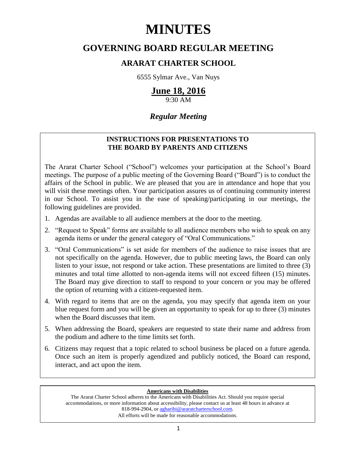# **MINUTES**

## **GOVERNING BOARD REGULAR MEETING**

### **ARARAT CHARTER SCHOOL**

6555 Sylmar Ave., Van Nuys

## **June 18, 2016**

9:30 AM

### *Regular Meeting*

### **INSTRUCTIONS FOR PRESENTATIONS TO THE BOARD BY PARENTS AND CITIZENS**

The Ararat Charter School ("School") welcomes your participation at the School's Board meetings. The purpose of a public meeting of the Governing Board ("Board") is to conduct the affairs of the School in public. We are pleased that you are in attendance and hope that you will visit these meetings often. Your participation assures us of continuing community interest in our School. To assist you in the ease of speaking/participating in our meetings, the following guidelines are provided.

- 1. Agendas are available to all audience members at the door to the meeting.
- 2. "Request to Speak" forms are available to all audience members who wish to speak on any agenda items or under the general category of "Oral Communications."
- 3. "Oral Communications" is set aside for members of the audience to raise issues that are not specifically on the agenda. However, due to public meeting laws, the Board can only listen to your issue, not respond or take action. These presentations are limited to three (3) minutes and total time allotted to non-agenda items will not exceed fifteen (15) minutes. The Board may give direction to staff to respond to your concern or you may be offered the option of returning with a citizen-requested item.
- 4. With regard to items that are on the agenda, you may specify that agenda item on your blue request form and you will be given an opportunity to speak for up to three (3) minutes when the Board discusses that item.
- 5. When addressing the Board, speakers are requested to state their name and address from the podium and adhere to the time limits set forth.
- 6. Citizens may request that a topic related to school business be placed on a future agenda. Once such an item is properly agendized and publicly noticed, the Board can respond, interact, and act upon the item.

#### **Americans with Disabilities**

The Ararat Charter School adheres to the Americans with Disabilities Act. Should you require special accommodations, or more information about accessibility, please contact us at least 48 hours in advance at 818-994-2904, or [agharibi@araratcharterschool.com.](mailto:agharibi@araratcharterschool.com)  All efforts will be made for reasonable accommodations.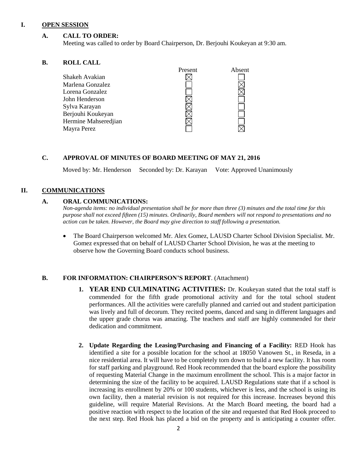#### **I. OPEN SESSION**

#### **A. CALL TO ORDER:**

Meeting was called to order by Board Chairperson, Dr. Berjouhi Koukeyan at 9:30 am.

#### **B. ROLL CALL**

| Present | Absent |
|---------|--------|
|         |        |
|         |        |
|         |        |
|         |        |
|         |        |
|         |        |
|         |        |
|         |        |
|         |        |

#### **C. APPROVAL OF MINUTES OF BOARD MEETING OF MAY 21, 2016**

Moved by: Mr. Henderson Seconded by: Dr. Karayan Vote: Approved Unanimously

#### **II. COMMUNICATIONS**

#### **A. ORAL COMMUNICATIONS:**

*Non-agenda items: no individual presentation shall be for more than three (3) minutes and the total time for this purpose shall not exceed fifteen (15) minutes. Ordinarily, Board members will not respond to presentations and no action can be taken. However, the Board may give direction to staff following a presentation.*

 The Board Chairperson welcomed Mr. Alex Gomez, LAUSD Charter School Division Specialist. Mr. Gomez expressed that on behalf of LAUSD Charter School Division, he was at the meeting to observe how the Governing Board conducts school business.

#### **B. FOR INFORMATION: CHAIRPERSON'S REPORT**. (Attachment)

- **1. YEAR END CULMINATING ACTIVITIES:** Dr. Koukeyan stated that the total staff is commended for the fifth grade promotional activity and for the total school student performances. All the activities were carefully planned and carried out and student participation was lively and full of decorum. They recited poems, danced and sang in different languages and the upper grade chorus was amazing. The teachers and staff are highly commended for their dedication and commitment.
- **2. Update Regarding the Leasing/Purchasing and Financing of a Facility:** RED Hook has identified a site for a possible location for the school at 18050 Vanowen St., in Reseda, in a nice residential area. It will have to be completely torn down to build a new facility. It has room for staff parking and playground. Red Hook recommended that the board explore the possibility of requesting Material Change in the maximum enrollment the school. This is a major factor in determining the size of the facility to be acquired. LAUSD Regulations state that if a school is increasing its enrollment by 20% or 100 students, whichever is less, and the school is using its own facility, then a material revision is not required for this increase. Increases beyond this guideline, will require Material Revisions. At the March Board meeting, the board had a positive reaction with respect to the location of the site and requested that Red Hook proceed to the next step. Red Hook has placed a bid on the property and is anticipating a counter offer.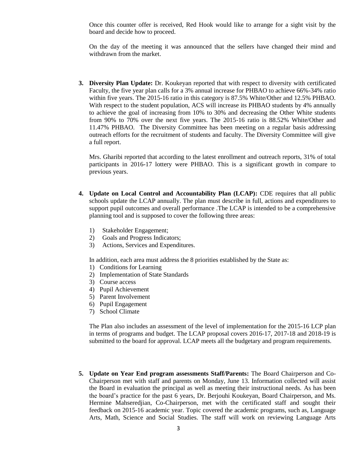Once this counter offer is received, Red Hook would like to arrange for a sight visit by the board and decide how to proceed.

On the day of the meeting it was announced that the sellers have changed their mind and withdrawn from the market.

**3. Diversity Plan Update:** Dr. Koukeyan reported that with respect to diversity with certificated Faculty, the five year plan calls for a 3% annual increase for PHBAO to achieve 66%-34% ratio within five years. The 2015-16 ratio in this category is 87.5% White/Other and 12.5% PHBAO. With respect to the student population, ACS will increase its PHBAO students by 4% annually to achieve the goal of increasing from 10% to 30% and decreasing the Other White students from 90% to 70% over the next five years. The 2015-16 ratio is 88.52% White/Other and 11.47% PHBAO. The Diversity Committee has been meeting on a regular basis addressing outreach efforts for the recruitment of students and faculty. The Diversity Committee will give a full report.

Mrs. Gharibi reported that according to the latest enrollment and outreach reports, 31% of total participants in 2016-17 lottery were PHBAO. This is a significant growth in compare to previous years.

- **4. Update on Local Control and Accountability Plan (LCAP):** CDE requires that all public schools update the LCAP annually. The plan must describe in full, actions and expenditures to support pupil outcomes and overall performance .The LCAP is intended to be a comprehensive planning tool and is supposed to cover the following three areas:
	- 1) Stakeholder Engagement;
	- 2) Goals and Progress Indicators;
	- 3) Actions, Services and Expenditures.

In addition, each area must address the 8 priorities established by the State as:

- 1) Conditions for Learning
- 2) Implementation of State Standards
- 3) Course access
- 4) Pupil Achievement
- 5) Parent Involvement
- 6) Pupil Engagement
- 7) School Climate

The Plan also includes an assessment of the level of implementation for the 2015-16 LCP plan in terms of programs and budget. The LCAP proposal covers 2016-17, 2017-18 and 2018-19 is submitted to the board for approval. LCAP meets all the budgetary and program requirements.

**5. Update on Year End program assessments Staff/Parents:** The Board Chairperson and Co-Chairperson met with staff and parents on Monday, June 13. Information collected will assist the Board in evaluation the principal as well as meeting their instructional needs. As has been the board's practice for the past 6 years, Dr. Berjouhi Koukeyan, Board Chairperson, and Ms. Hermine Mahseredjian, Co-Chairperson, met with the certificated staff and sought their feedback on 2015-16 academic year. Topic covered the academic programs, such as, Language Arts, Math, Science and Social Studies. The staff will work on reviewing Language Arts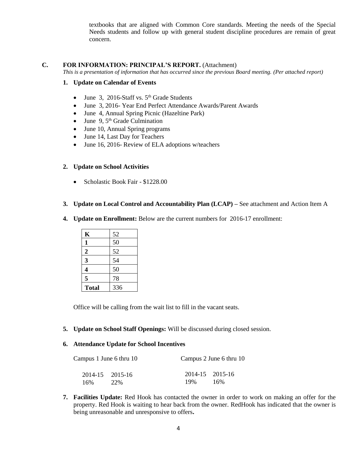textbooks that are aligned with Common Core standards. Meeting the needs of the Special Needs students and follow up with general student discipline procedures are remain of great concern.

#### **C. FOR INFORMATION: PRINCIPAL'S REPORT.** (Attachment)

*This is a presentation of information that has occurred since the previous Board meeting. (Per attached report)*

#### **1. Update on Calendar of Events**

- June 3, 2016-Staff vs.  $5<sup>th</sup>$  Grade Students
- June 3, 2016- Year End Perfect Attendance Awards/Parent Awards
- June 4, Annual Spring Picnic (Hazeltine Park)
- $\bullet$  June 9, 5<sup>th</sup> Grade Culmination
- June 10, Annual Spring programs
- June 14, Last Day for Teachers
- June 16, 2016- Review of ELA adoptions w/teachers

#### **2. Update on School Activities**

- Scholastic Book Fair \$1228.00
- **3. Update on Local Control and Accountability Plan (LCAP) –** See attachment and Action Item A
- **4. Update on Enrollment:** Below are the current numbers for 2016-17 enrollment:

| K              | 52  |
|----------------|-----|
| 1              | 50  |
| $\overline{2}$ | 52  |
| 3              | 54  |
| 4              | 50  |
| 5              | 78  |
| <b>Total</b>   | 336 |

Office will be calling from the wait list to fill in the vacant seats.

**5. Update on School Staff Openings:** Will be discussed during closed session.

#### **6. Attendance Update for School Incentives**

| Campus 1 June 6 thru 10 |                 | Campus 2 June 6 thru 10 |                 |
|-------------------------|-----------------|-------------------------|-----------------|
|                         | 2014-15 2015-16 |                         | 2014-15 2015-16 |
| 16%                     | 22%             | 19%                     | 16%             |

**7. Facilities Update:** Red Hook has contacted the owner in order to work on making an offer for the property. Red Hook is waiting to hear back from the owner. RedHook has indicated that the owner is being unreasonable and unresponsive to offers**.**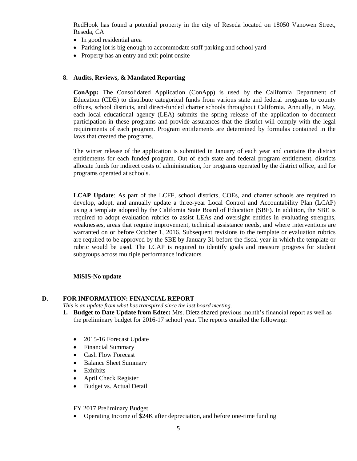RedHook has found a potential property in the city of Reseda located on 18050 Vanowen Street, Reseda, CA

- In good residential area
- Parking lot is big enough to accommodate staff parking and school yard
- Property has an entry and exit point onsite

#### **8. Audits, Reviews, & Mandated Reporting**

**ConApp:** The Consolidated Application (ConApp) is used by the California Department of Education (CDE) to distribute categorical funds from various state and federal programs to county offices, school districts, and direct-funded charter schools throughout California. Annually, in May, each local educational agency (LEA) submits the spring release of the application to document participation in these programs and provide assurances that the district will comply with the legal requirements of each program. Program entitlements are determined by formulas contained in the laws that created the programs.

The winter release of the application is submitted in January of each year and contains the district entitlements for each funded program. Out of each state and federal program entitlement, districts allocate funds for indirect costs of administration, for programs operated by the district office, and for programs operated at schools.

**LCAP Update**: As part of the LCFF, school districts, COEs, and charter schools are required to develop, adopt, and annually update a three-year Local Control and Accountability Plan (LCAP) using a template adopted by the California State Board of Education (SBE). In addition, the SBE is required to adopt evaluation rubrics to assist LEAs and oversight entities in evaluating strengths, weaknesses, areas that require improvement, technical assistance needs, and where interventions are warranted on or before October 1, 2016. Subsequent revisions to the template or evaluation rubrics are required to be approved by the SBE by January 31 before the fiscal year in which the template or rubric would be used. The LCAP is required to identify goals and measure progress for student subgroups across multiple performance indicators.

#### **MiSIS-No update**

#### **D. FOR INFORMATION: FINANCIAL REPORT**

- *This is an update from what has transpired since the last board meeting.*
- **1. Budget to Date Update from Edtec:** Mrs. Dietz shared previous month's financial report as well as the preliminary budget for 2016-17 school year. The reports entailed the following:
	- 2015-16 Forecast Update
	- Financial Summary
	- Cash Flow Forecast
	- Balance Sheet Summary
	- Exhibits
	- April Check Register
	- Budget vs. Actual Detail

FY 2017 Preliminary Budget

• Operating Income of \$24K after depreciation, and before one-time funding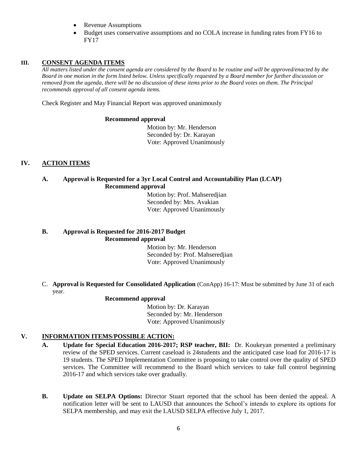- Revenue Assumptions
- Budget uses conservative assumptions and no COLA increase in funding rates from FY16 to FY17

#### **III. CONSENT AGENDA ITEMS**

*All matters listed under the consent agenda are considered by the Board to be routine and will be approved/enacted by the Board in one motion in the form listed below. Unless specifically requested by a Board member for further discussion or removed from the agenda, there will be no discussion of these items prior to the Board votes on them. The Principal recommends approval of all consent agenda items.*

Check Register and May Financial Report was approved unanimously

#### **Recommend approval**

 Motion by: Mr. Henderson Seconded by: Dr. Karayan Vote: Approved Unanimously

#### **IV. ACTION ITEMS**

#### **A. Approval is Requested for a 3yr Local Control and Accountability Plan (LCAP) Recommend approval**

 Motion by: Prof. Mahseredjian Seconded by: Mrs. Avakian Vote: Approved Unanimously

#### **B. Approval is Requested for 2016-2017 Budget Recommend approval**

 Motion by: Mr. Henderson Seconded by: Prof. Mahseredjian Vote: Approved Unanimously

C. **Approval is Requested for Consolidated Application** (ConApp) 16-17: Must be submitted by June 31 of each year.

#### **Recommend approval**

 Motion by: Dr. Karayan Seconded by: Mr. Henderson Vote: Approved Unanimously

#### **V. INFORMATION ITEMS**/**POSSIBLE ACTION:**

- **A. Update for Special Education 2016-2017; RSP teacher, BII:** Dr. Koukeyan presented a preliminary review of the SPED services. Current caseload is 24students and the anticipated case load for 2016-17 is 19 students. The SPED Implementation Committee is proposing to take control over the quality of SPED services. The Committee will recommend to the Board which services to take full control beginning 2016-17 and which services take over gradually.
- **B. Update on SELPA Options:** Director Stuart reported that the school has been denied the appeal. A notification letter will be sent to LAUSD that announces the School's intends to explore its options for SELPA membership, and may exit the LAUSD SELPA effective July 1, 2017.